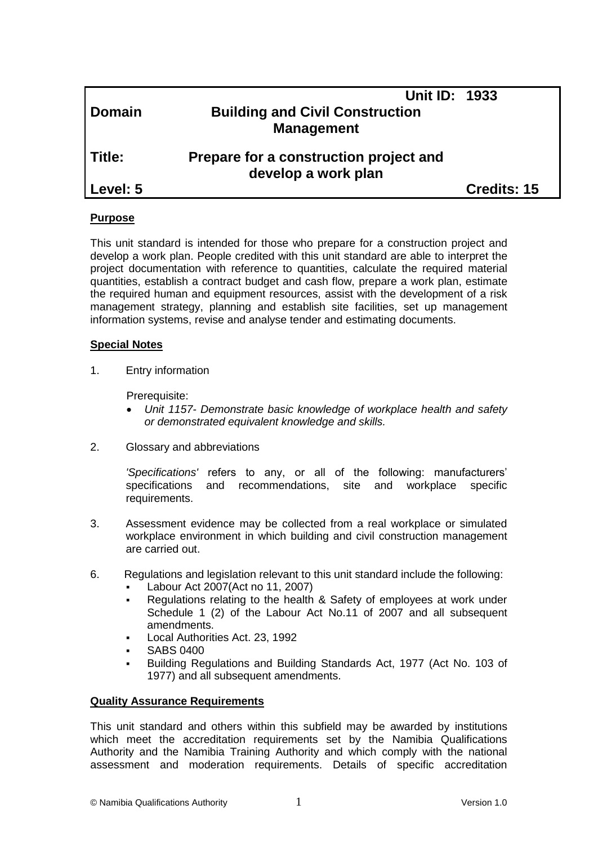|          | Unit ID: 1933                                                 |                    |
|----------|---------------------------------------------------------------|--------------------|
| Domain   | <b>Building and Civil Construction</b>                        |                    |
|          | <b>Management</b>                                             |                    |
| Title:   | Prepare for a construction project and<br>develop a work plan |                    |
| Level: 5 |                                                               | <b>Credits: 15</b> |
|          |                                                               |                    |

#### **Purpose**

This unit standard is intended for those who prepare for a construction project and develop a work plan. People credited with this unit standard are able to interpret the project documentation with reference to quantities, calculate the required material quantities, establish a contract budget and cash flow, prepare a work plan, estimate the required human and equipment resources, assist with the development of a risk management strategy, planning and establish site facilities, set up management information systems, revise and analyse tender and estimating documents.

#### **Special Notes**

1. Entry information

Prerequisite:

- *Unit 1157- Demonstrate basic knowledge of workplace health and safety or demonstrated equivalent knowledge and skills.*
- 2. Glossary and abbreviations

*'Specifications'* refers to any, or all of the following: manufacturers' specifications and recommendations, site and workplace specific requirements.

- 3. Assessment evidence may be collected from a real workplace or simulated workplace environment in which building and civil construction management are carried out.
- 6. Regulations and legislation relevant to this unit standard include the following:
	- Labour Act 2007(Act no 11, 2007)
	- Regulations relating to the health & Safety of employees at work under Schedule 1 (2) of the Labour Act No.11 of 2007 and all subsequent amendments.
	- Local Authorities Act. 23, 1992
	- SABS 0400
	- Building Regulations and Building Standards Act, 1977 (Act No. 103 of 1977) and all subsequent amendments.

#### **Quality Assurance Requirements**

This unit standard and others within this subfield may be awarded by institutions which meet the accreditation requirements set by the Namibia Qualifications Authority and the Namibia Training Authority and which comply with the national assessment and moderation requirements. Details of specific accreditation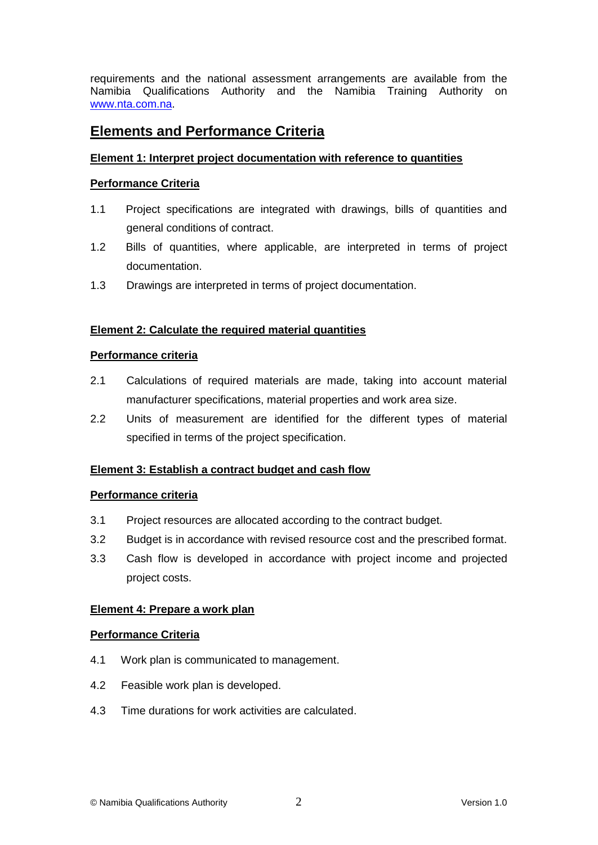requirements and the national assessment arrangements are available from the Namibia Qualifications Authority and the Namibia Training Authority on [www.nta.com.na.](http://www.nta.com.na/)

# **Elements and Performance Criteria**

## **Element 1: Interpret project documentation with reference to quantities**

## **Performance Criteria**

- 1.1 Project specifications are integrated with drawings, bills of quantities and general conditions of contract.
- 1.2 Bills of quantities, where applicable, are interpreted in terms of project documentation.
- 1.3 Drawings are interpreted in terms of project documentation.

## **Element 2: Calculate the required material quantities**

## **Performance criteria**

- 2.1 Calculations of required materials are made, taking into account material manufacturer specifications, material properties and work area size.
- 2.2 Units of measurement are identified for the different types of material specified in terms of the project specification.

# **Element 3: Establish a contract budget and cash flow**

## **Performance criteria**

- 3.1 Project resources are allocated according to the contract budget.
- 3.2 Budget is in accordance with revised resource cost and the prescribed format.
- 3.3 Cash flow is developed in accordance with project income and projected project costs.

## **Element 4: Prepare a work plan**

## **Performance Criteria**

- 4.1 Work plan is communicated to management.
- 4.2 Feasible work plan is developed.
- 4.3 Time durations for work activities are calculated.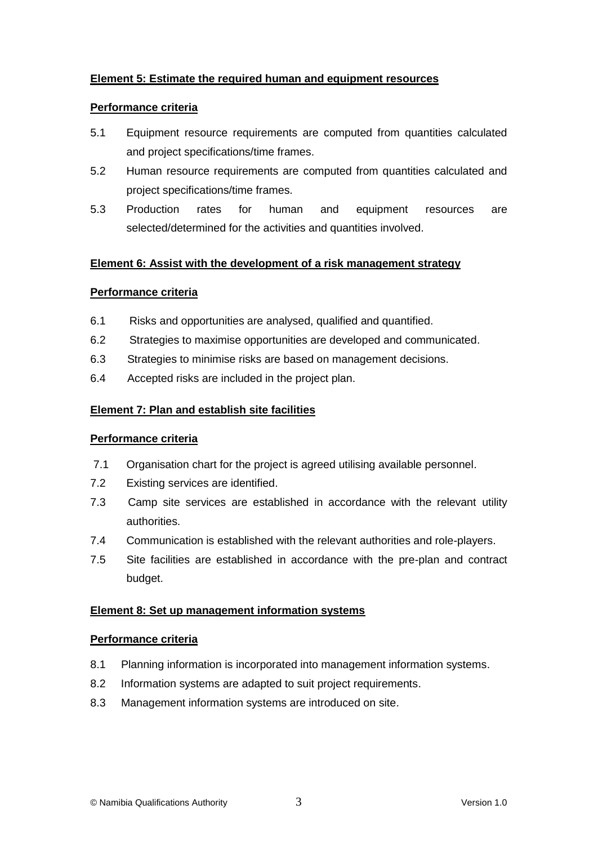## **Element 5: Estimate the required human and equipment resources**

#### **Performance criteria**

- 5.1 Equipment resource requirements are computed from quantities calculated and project specifications/time frames.
- 5.2 Human resource requirements are computed from quantities calculated and project specifications/time frames.
- 5.3 Production rates for human and equipment resources are selected/determined for the activities and quantities involved.

## **Element 6: Assist with the development of a risk management strategy**

## **Performance criteria**

- 6.1 Risks and opportunities are analysed, qualified and quantified.
- 6.2 Strategies to maximise opportunities are developed and communicated.
- 6.3 Strategies to minimise risks are based on management decisions.
- 6.4 Accepted risks are included in the project plan.

## **Element 7: Plan and establish site facilities**

## **Performance criteria**

- 7.1 Organisation chart for the project is agreed utilising available personnel.
- 7.2 Existing services are identified.
- 7.3 Camp site services are established in accordance with the relevant utility authorities.
- 7.4 Communication is established with the relevant authorities and role-players.
- 7.5 Site facilities are established in accordance with the pre-plan and contract budget.

## **Element 8: Set up management information systems**

#### **Performance criteria**

- 8.1 Planning information is incorporated into management information systems.
- 8.2 Information systems are adapted to suit project requirements.
- 8.3 Management information systems are introduced on site.